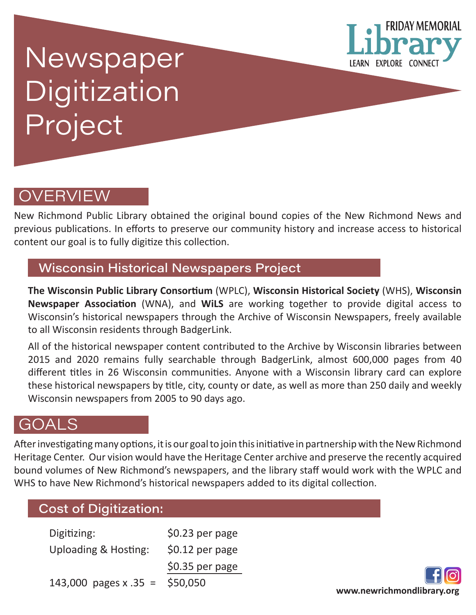

# **Newspaper Digitization** Project

## OVERVIEW

New Richmond Public Library obtained the original bound copies of the New Richmond News and previous publications. In efforts to preserve our community history and increase access to historical content our goal is to fully digitize this collection.

#### Wisconsin Historical Newspapers Project

**The Wisconsin Public Library Consortium** (WPLC), **Wisconsin Historical Society** (WHS), **Wisconsin Newspaper Association** (WNA), and **WiLS** are working together to provide digital access to Wisconsin's historical newspapers through the Archive of Wisconsin Newspapers, freely available to all Wisconsin residents through BadgerLink.

All of the historical newspaper content contributed to the Archive by Wisconsin libraries between 2015 and 2020 remains fully searchable through BadgerLink, almost 600,000 pages from 40 different titles in 26 Wisconsin communities. Anyone with a Wisconsin library card can explore these historical newspapers by title, city, county or date, as well as more than 250 daily and weekly Wisconsin newspapers from 2005 to 90 days ago.

### GOALS

After investigating many options, it is our goal to join this initiative in partnership with the New Richmond Heritage Center. Our vision would have the Heritage Center archive and preserve the recently acquired bound volumes of New Richmond's newspapers, and the library staff would work with the WPLC and WHS to have New Richmond's historical newspapers added to its digital collection.

#### Cost of Digitization:

| Digitizing:                     | \$0.23 per page  |
|---------------------------------|------------------|
| <b>Uploading &amp; Hosting:</b> | $$0.12$ per page |
|                                 | $$0.35$ per page |
| 143,000 pages $x .35 =$         | \$50,050         |